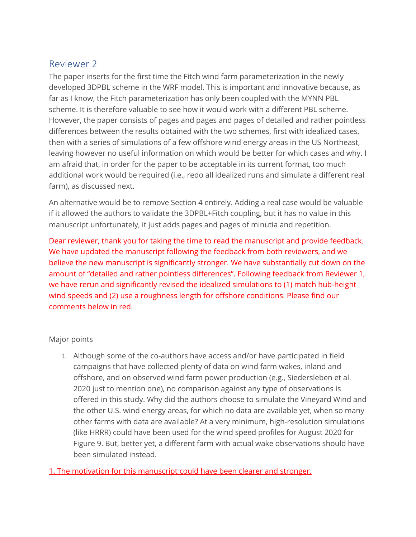# Reviewer 2

The paper inserts for the first time the Fitch wind farm parameterization in the newly developed 3DPBL scheme in the WRF model. This is important and innovative because, as far as I know, the Fitch parameterization has only been coupled with the MYNN PBL scheme. It is therefore valuable to see how it would work with a different PBL scheme. However, the paper consists of pages and pages and pages of detailed and rather pointless differences between the results obtained with the two schemes, first with idealized cases, then with a series of simulations of a few offshore wind energy areas in the US Northeast, leaving however no useful information on which would be better for which cases and why. I am afraid that, in order for the paper to be acceptable in its current format, too much additional work would be required (i.e., redo all idealized runs and simulate a different real farm), as discussed next.

An alternative would be to remove Section 4 entirely. Adding a real case would be valuable if it allowed the authors to validate the 3DPBL+Fitch coupling, but it has no value in this manuscript unfortunately, it just adds pages and pages of minutia and repetition.

Dear reviewer, thank you for taking the time to read the manuscript and provide feedback. We have updated the manuscript following the feedback from both reviewers, and we believe the new manuscript is significantly stronger. We have substantially cut down on the amount of "detailed and rather pointless differences". Following feedback from Reviewer 1, we have rerun and significantly revised the idealized simulations to (1) match hub-height wind speeds and (2) use a roughness length for offshore conditions. Please find our comments below in red.

# Major points

1. Although some of the co-authors have access and/or have participated in field campaigns that have collected plenty of data on wind farm wakes, inland and offshore, and on observed wind farm power production (e.g., Siedersleben et al. 2020 just to mention one), no comparison against any type of observations is offered in this study. Why did the authors choose to simulate the Vineyard Wind and the other U.S. wind energy areas, for which no data are available yet, when so many other farms with data are available? At a very minimum, high-resolution simulations (like HRRR) could have been used for the wind speed profiles for August 2020 for Figure 9. But, better yet, a different farm with actual wake observations should have been simulated instead.

1. The motivation for this manuscript could have been clearer and stronger.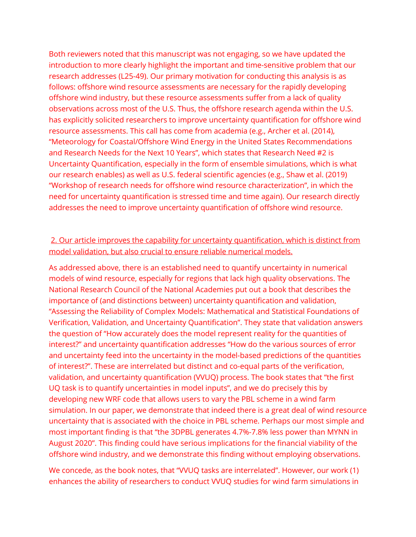Both reviewers noted that this manuscript was not engaging, so we have updated the introduction to more clearly highlight the important and time-sensitive problem that our research addresses (L25-49). Our primary motivation for conducting this analysis is as follows: offshore wind resource assessments are necessary for the rapidly developing offshore wind industry, but these resource assessments suffer from a lack of quality observations across most of the U.S. Thus, the offshore research agenda within the U.S. has explicitly solicited researchers to improve uncertainty quantification for offshore wind resource assessments. This call has come from academia (e.g., Archer et al. (2014), "Meteorology for Coastal/Offshore Wind Energy in the United States Recommendations and Research Needs for the Next 10 Years", which states that Research Need #2 is Uncertainty Quantification, especially in the form of ensemble simulations, which is what our research enables) as well as U.S. federal scientific agencies (e.g., Shaw et al. (2019) "Workshop of research needs for offshore wind resource characterization", in which the need for uncertainty quantification is stressed time and time again). Our research directly addresses the need to improve uncertainty quantification of offshore wind resource.

# 2. Our article improves the capability for uncertainty quantification, which is distinct from model validation, but also crucial to ensure reliable numerical models.

As addressed above, there is an established need to quantify uncertainty in numerical models of wind resource, especially for regions that lack high quality observations. The National Research Council of the National Academies put out a book that describes the importance of (and distinctions between) uncertainty quantification and validation, "Assessing the Reliability of Complex Models: Mathematical and Statistical Foundations of Verification, Validation, and Uncertainty Quantification". They state that validation answers the question of "How accurately does the model represent reality for the quantities of interest?" and uncertainty quantification addresses "How do the various sources of error and uncertainty feed into the uncertainty in the model-based predictions of the quantities of interest?". These are interrelated but distinct and co-equal parts of the verification, validation, and uncertainty quantification (VVUQ) process. The book states that "the first UQ task is to quantify uncertainties in model inputs", and we do precisely this by developing new WRF code that allows users to vary the PBL scheme in a wind farm simulation. In our paper, we demonstrate that indeed there is a great deal of wind resource uncertainty that is associated with the choice in PBL scheme. Perhaps our most simple and most important finding is that "the 3DPBL generates 4.7%-7.8% less power than MYNN in August 2020". This finding could have serious implications for the financial viability of the offshore wind industry, and we demonstrate this finding without employing observations.

We concede, as the book notes, that "VVUQ tasks are interrelated". However, our work (1) enhances the ability of researchers to conduct VVUQ studies for wind farm simulations in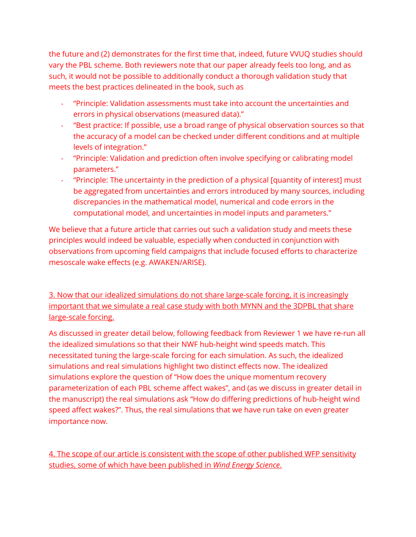the future and (2) demonstrates for the first time that, indeed, future VVUQ studies should vary the PBL scheme. Both reviewers note that our paper already feels too long, and as such, it would not be possible to additionally conduct a thorough validation study that meets the best practices delineated in the book, such as

- "Principle: Validation assessments must take into account the uncertainties and errors in physical observations (measured data)."
- "Best practice: If possible, use a broad range of physical observation sources so that the accuracy of a model can be checked under different conditions and at multiple levels of integration."
- "Principle: Validation and prediction often involve specifying or calibrating model parameters."
- "Principle: The uncertainty in the prediction of a physical [quantity of interest] must be aggregated from uncertainties and errors introduced by many sources, including discrepancies in the mathematical model, numerical and code errors in the computational model, and uncertainties in model inputs and parameters."

We believe that a future article that carries out such a validation study and meets these principles would indeed be valuable, especially when conducted in conjunction with observations from upcoming field campaigns that include focused efforts to characterize mesoscale wake effects (e.g. AWAKEN/ARISE).

3. Now that our idealized simulations do not share large-scale forcing, it is increasingly important that we simulate a real case study with both MYNN and the 3DPBL that share large-scale forcing.

As discussed in greater detail below, following feedback from Reviewer 1 we have re-run all the idealized simulations so that their NWF hub-height wind speeds match. This necessitated tuning the large-scale forcing for each simulation. As such, the idealized simulations and real simulations highlight two distinct effects now. The idealized simulations explore the question of "How does the unique momentum recovery parameterization of each PBL scheme affect wakes", and (as we discuss in greater detail in the manuscript) the real simulations ask "How do differing predictions of hub-height wind speed affect wakes?". Thus, the real simulations that we have run take on even greater importance now.

4. The scope of our article is consistent with the scope of other published WFP sensitivity studies, some of which have been published in *Wind Energy Science*.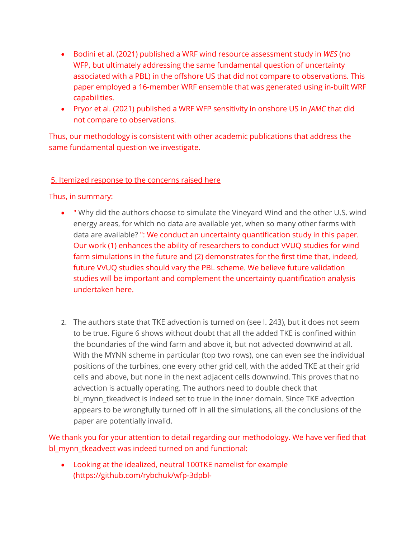- Bodini et al. (2021) published a WRF wind resource assessment study in *WES* (no WFP, but ultimately addressing the same fundamental question of uncertainty associated with a PBL) in the offshore US that did not compare to observations. This paper employed a 16-member WRF ensemble that was generated using in-built WRF capabilities.
- Pryor et al. (2021) published a WRF WFP sensitivity in onshore US in *JAMC* that did not compare to observations.

Thus, our methodology is consistent with other academic publications that address the same fundamental question we investigate.

## 5. Itemized response to the concerns raised here

#### Thus, in summary:

- " Why did the authors choose to simulate the Vineyard Wind and the other U.S. wind energy areas, for which no data are available yet, when so many other farms with data are available? ": We conduct an uncertainty quantification study in this paper. Our work (1) enhances the ability of researchers to conduct VVUQ studies for wind farm simulations in the future and (2) demonstrates for the first time that, indeed, future VVUQ studies should vary the PBL scheme. We believe future validation studies will be important and complement the uncertainty quantification analysis undertaken here.
- 2. The authors state that TKE advection is turned on (see l. 243), but it does not seem to be true. Figure 6 shows without doubt that all the added TKE is confined within the boundaries of the wind farm and above it, but not advected downwind at all. With the MYNN scheme in particular (top two rows), one can even see the individual positions of the turbines, one every other grid cell, with the added TKE at their grid cells and above, but none in the next adjacent cells downwind. This proves that no advection is actually operating. The authors need to double check that bl\_mynn\_tkeadvect is indeed set to true in the inner domain. Since TKE advection appears to be wrongfully turned off in all the simulations, all the conclusions of the paper are potentially invalid.

We thank you for your attention to detail regarding our methodology. We have verified that bl\_mynn\_tkeadvect was indeed turned on and functional:

• Looking at the idealized, neutral 100TKE namelist for example (https://github.com/rybchuk/wfp-3dpbl-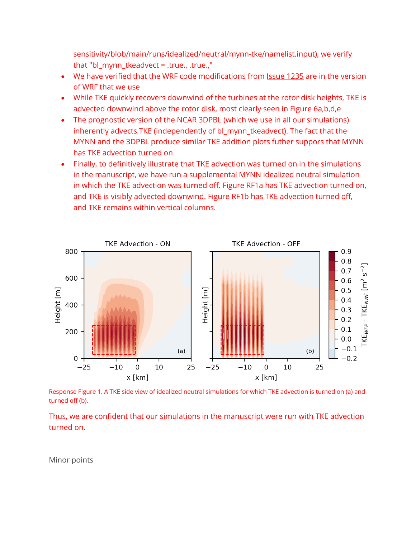sensitivity/blob/main/runs/idealized/neutral/mynn-tke/namelist.input), we verify that "bl\_mynn\_tkeadvect = .true., .true.,"

- We have verified that the WRF code modifications from Issue 1235 are in the version of WRF that we use
- While TKE quickly recovers downwind of the turbines at the rotor disk heights, TKE is advected downwind above the rotor disk, most clearly seen in Figure 6a,b,d,e
- The prognostic version of the NCAR 3DPBL (which we use in all our simulations) inherently advects TKE (independently of bl\_mynn\_tkeadvect). The fact that the MYNN and the 3DPBL produce similar TKE addition plots futher suppors that MYNN has TKE advection turned on
- Finally, to definitively illustrate that TKE advection was turned on in the simulations in the manuscript, we have run a supplemental MYNN idealized neutral simulation in which the TKE advection was turned off. Figure RF1a has TKE advection turned on, and TKE is visibly advected downwind. Figure RF1b has TKE advection turned off, and TKE remains within vertical columns.



Response Figure 1. A TKE side view of idealized neutral simulations for which TKE advection is turned on (a) and turned off (b).

Thus, we are confident that our simulations in the manuscript were run with TKE advection turned on.

Minor points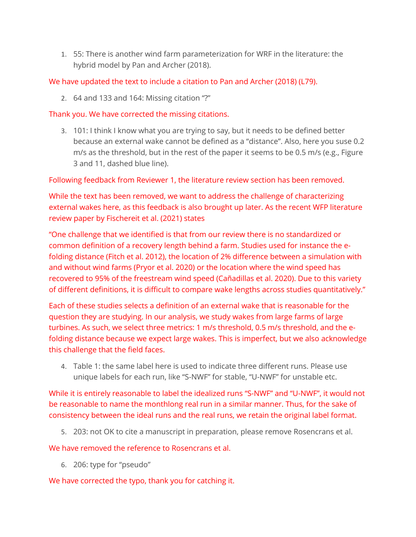1. 55: There is another wind farm parameterization for WRF in the literature: the hybrid model by Pan and Archer (2018).

We have updated the text to include a citation to Pan and Archer (2018) (L79).

2. 64 and 133 and 164: Missing citation "?"

## Thank you. We have corrected the missing citations.

3. 101: I think I know what you are trying to say, but it needs to be defined better because an external wake cannot be defined as a "distance". Also, here you suse 0.2 m/s as the threshold, but in the rest of the paper it seems to be 0.5 m/s (e.g., Figure 3 and 11, dashed blue line).

Following feedback from Reviewer 1, the literature review section has been removed.

While the text has been removed, we want to address the challenge of characterizing external wakes here, as this feedback is also brought up later. As the recent WFP literature review paper by Fischereit et al. (2021) states

"One challenge that we identified is that from our review there is no standardized or common definition of a recovery length behind a farm. Studies used for instance the efolding distance (Fitch et al. 2012), the location of 2% difference between a simulation with and without wind farms (Pryor et al. 2020) or the location where the wind speed has recovered to 95% of the freestream wind speed (Cañadillas et al. 2020). Due to this variety of different definitions, it is difficult to compare wake lengths across studies quantitatively."

Each of these studies selects a definition of an external wake that is reasonable for the question they are studying. In our analysis, we study wakes from large farms of large turbines. As such, we select three metrics: 1 m/s threshold, 0.5 m/s threshold, and the efolding distance because we expect large wakes. This is imperfect, but we also acknowledge this challenge that the field faces.

4. Table 1: the same label here is used to indicate three different runs. Please use unique labels for each run, like "S-NWF" for stable, "U-NWF" for unstable etc.

While it is entirely reasonable to label the idealized runs "S-NWF" and "U-NWF", it would not be reasonable to name the monthlong real run in a similar manner. Thus, for the sake of consistency between the ideal runs and the real runs, we retain the original label format.

5. 203: not OK to cite a manuscript in preparation, please remove Rosencrans et al.

We have removed the reference to Rosencrans et al.

6. 206: type for "pseudo"

We have corrected the typo, thank you for catching it.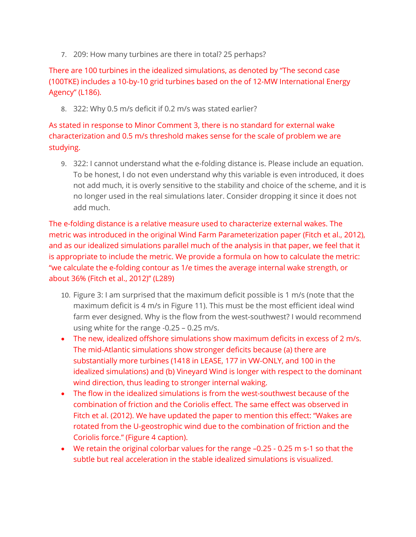7. 209: How many turbines are there in total? 25 perhaps?

There are 100 turbines in the idealized simulations, as denoted by "The second case (100TKE) includes a 10-by-10 grid turbines based on the of 12-MW International Energy Agency" (L186).

8. 322: Why 0.5 m/s deficit if 0.2 m/s was stated earlier?

As stated in response to Minor Comment 3, there is no standard for external wake characterization and 0.5 m/s threshold makes sense for the scale of problem we are studying.

9. 322: I cannot understand what the e-folding distance is. Please include an equation. To be honest, I do not even understand why this variable is even introduced, it does not add much, it is overly sensitive to the stability and choice of the scheme, and it is no longer used in the real simulations later. Consider dropping it since it does not add much.

The e-folding distance is a relative measure used to characterize external wakes. The metric was introduced in the original Wind Farm Parameterization paper (Fitch et al., 2012), and as our idealized simulations parallel much of the analysis in that paper, we feel that it is appropriate to include the metric. We provide a formula on how to calculate the metric: "we calculate the e-folding contour as 1/e times the average internal wake strength, or about 36% (Fitch et al., 2012)" (L289)

- 10. Figure 3: I am surprised that the maximum deficit possible is 1 m/s (note that the maximum deficit is 4 m/s in Figure 11). This must be the most efficient ideal wind farm ever designed. Why is the flow from the west-southwest? I would recommend using white for the range -0.25 – 0.25 m/s.
- The new, idealized offshore simulations show maximum deficits in excess of 2 m/s. The mid-Atlantic simulations show stronger deficits because (a) there are substantially more turbines (1418 in LEASE, 177 in VW-ONLY, and 100 in the idealized simulations) and (b) Vineyard Wind is longer with respect to the dominant wind direction, thus leading to stronger internal waking.
- The flow in the idealized simulations is from the west-southwest because of the combination of friction and the Coriolis effect. The same effect was observed in Fitch et al. (2012). We have updated the paper to mention this effect: "Wakes are rotated from the U-geostrophic wind due to the combination of friction and the Coriolis force." (Figure 4 caption).
- We retain the original colorbar values for the range –0.25 0.25 m s-1 so that the subtle but real acceleration in the stable idealized simulations is visualized.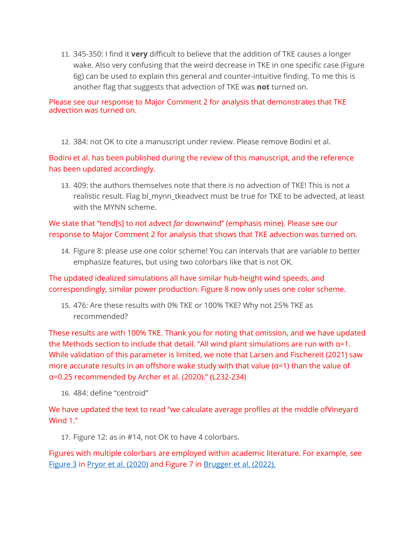11. 345-350: I find it **very** difficult to believe that the addition of TKE causes a longer wake. Also very confusing that the weird decrease in TKE in one specific case (Figure 6g) can be used to explain this general and counter-intuitive finding. To me this is another flag that suggests that advection of TKE was **not** turned on.

#### Please see our response to Major Comment 2 for analysis that demonstrates that TKE advection was turned on.

12. 384: not OK to cite a manuscript under review. Please remove Bodini et al.

Bodini et al. has been published during the review of this manuscript, and the reference has been updated accordingly.

13. 409: the authors themselves note that there is no advection of TKE! This is not a realistic result. Flag bl\_mynn\_tkeadvect must be true for TKE to be advected, at least with the MYNN scheme.

# We state that "tend[s] to not advect *far* downwind" (emphasis mine). Please see our response to Major Comment 2 for analysis that shows that TKE advection was turned on.

14. Figure 8: please use one color scheme! You can intervals that are variable to better emphasize features, but using two colorbars like that is not OK.

The updated idealized simulations all have similar hub-height wind speeds, and correspondingly, similar power production. Figure 8 now only uses one color scheme.

15. 476: Are these results with 0% TKE or 100% TKE? Why not 25% TKE as recommended?

These results are with 100% TKE. Thank you for noting that omission, and we have updated the Methods section to include that detail. "All wind plant simulations are run with α=1. While validation of this parameter is limited, we note that Larsen and Fischereit (2021) saw more accurate results in an offshore wake study with that value ( $\alpha$ =1) than the value of α=0.25 recommended by Archer et al. (2020)." (L232-234)

16. 484: define "centroid"

We have updated the text to read "we calculate average profiles at the middle ofVineyard Wind 1."

17. Figure 12: as in #14, not OK to have 4 colorbars.

Figures with multiple colorbars are employed within academic literature. For example, see Figure 3 in Pryor et al. (2020) and Figure 7 in Brugger et al. (2022).